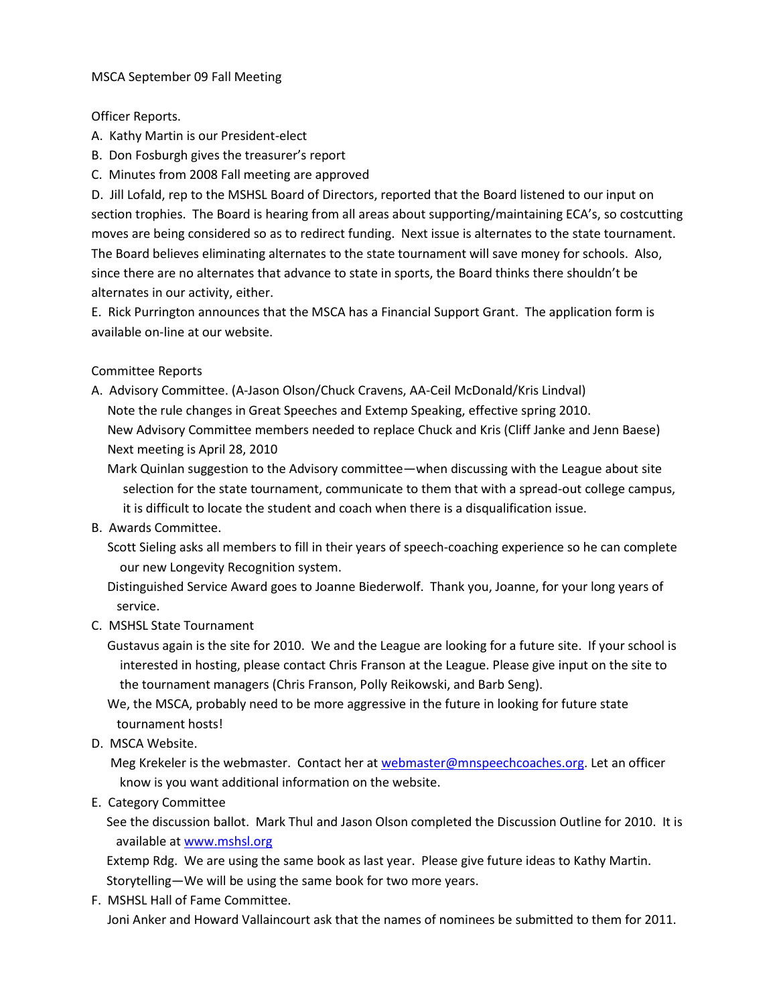## MSCA September 09 Fall Meeting

Officer Reports.

- A. Kathy Martin is our President-elect
- B. Don Fosburgh gives the treasurer's report
- C. Minutes from 2008 Fall meeting are approved

D. Jill Lofald, rep to the MSHSL Board of Directors, reported that the Board listened to our input on section trophies. The Board is hearing from all areas about supporting/maintaining ECA's, so costcutting moves are being considered so as to redirect funding. Next issue is alternates to the state tournament. The Board believes eliminating alternates to the state tournament will save money for schools. Also, since there are no alternates that advance to state in sports, the Board thinks there shouldn't be alternates in our activity, either.

E. Rick Purrington announces that the MSCA has a Financial Support Grant. The application form is available on-line at our website.

Committee Reports

- A. Advisory Committee. (A-Jason Olson/Chuck Cravens, AA-Ceil McDonald/Kris Lindval) Note the rule changes in Great Speeches and Extemp Speaking, effective spring 2010. New Advisory Committee members needed to replace Chuck and Kris (Cliff Janke and Jenn Baese) Next meeting is April 28, 2010
	- Mark Quinlan suggestion to the Advisory committee—when discussing with the League about site selection for the state tournament, communicate to them that with a spread-out college campus, it is difficult to locate the student and coach when there is a disqualification issue.
- B. Awards Committee.

 Scott Sieling asks all members to fill in their years of speech-coaching experience so he can complete our new Longevity Recognition system.

 Distinguished Service Award goes to Joanne Biederwolf. Thank you, Joanne, for your long years of service.

- C. MSHSL State Tournament
	- Gustavus again is the site for 2010. We and the League are looking for a future site. If your school is interested in hosting, please contact Chris Franson at the League. Please give input on the site to the tournament managers (Chris Franson, Polly Reikowski, and Barb Seng).

 We, the MSCA, probably need to be more aggressive in the future in looking for future state tournament hosts!

D. MSCA Website.

Meg Krekeler is the webmaster. Contact her a[t webmaster@mnspeechcoaches.org.](mailto:webmaster@mnspeechcoaches.org) Let an officer know is you want additional information on the website.

E. Category Committee

See the discussion ballot. Mark Thul and Jason Olson completed the Discussion Outline for 2010. It is available at [www.mshsl.org](http://www.mshsl.org/)

Extemp Rdg. We are using the same book as last year. Please give future ideas to Kathy Martin. Storytelling—We will be using the same book for two more years.

F. MSHSL Hall of Fame Committee. Joni Anker and Howard Vallaincourt ask that the names of nominees be submitted to them for 2011.